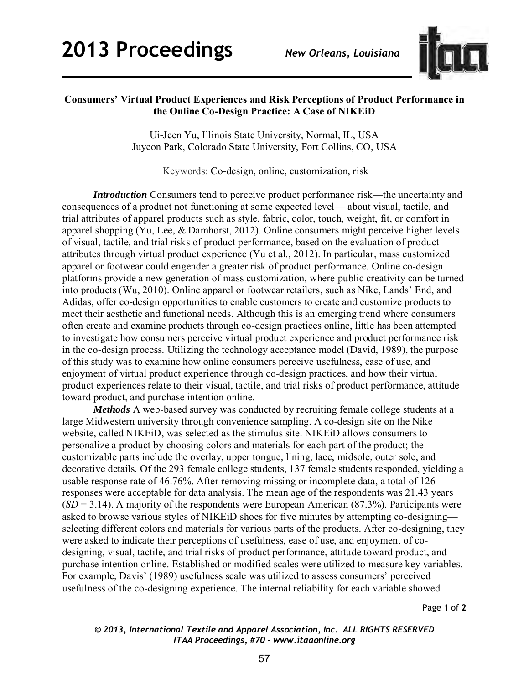

## **Consumers' Virtual Product Experiences and Risk Perceptions of Product Performance in the Online Co-Design Practice: A Case of NIKEiD**

Ui-Jeen Yu, Illinois State University, Normal, IL, USA Juyeon Park, Colorado State University, Fort Collins, CO, USA

Keywords: Co-design, online, customization, risk

*Introduction* Consumers tend to perceive product performance risk—the uncertainty and consequences of a product not functioning at some expected level— about visual, tactile, and trial attributes of apparel products such as style, fabric, color, touch, weight, fit, or comfort in apparel shopping (Yu, Lee, & Damhorst, 2012). Online consumers might perceive higher levels of visual, tactile, and trial risks of product performance, based on the evaluation of product attributes through virtual product experience (Yu et al., 2012). In particular, mass customized apparel or footwear could engender a greater risk of product performance. Online co-design platforms provide a new generation of mass customization, where public creativity can be turned into products (Wu, 2010). Online apparel or footwear retailers, such as Nike, Lands' End, and Adidas, offer co-design opportunities to enable customers to create and customize products to meet their aesthetic and functional needs. Although this is an emerging trend where consumers often create and examine products through co-design practices online, little has been attempted to investigate how consumers perceive virtual product experience and product performance risk in the co-design process. Utilizing the technology acceptance model (David, 1989), the purpose of this study was to examine how online consumers perceive usefulness, ease of use, and enjoyment of virtual product experience through co-design practices, and how their virtual product experiences relate to their visual, tactile, and trial risks of product performance, attitude toward product, and purchase intention online.

*Methods* A web-based survey was conducted by recruiting female college students at a large Midwestern university through convenience sampling. A co-design site on the Nike website, called NIKEiD, was selected as the stimulus site. NIKEiD allows consumers to personalize a product by choosing colors and materials for each part of the product; the customizable parts include the overlay, upper tongue, lining, lace, midsole, outer sole, and decorative details. Of the 293 female college students, 137 female students responded, yielding a usable response rate of 46.76%. After removing missing or incomplete data, a total of 126 responses were acceptable for data analysis. The mean age of the respondents was 21.43 years (*SD* = 3.14). A majority of the respondents were European American (87.3%). Participants were asked to browse various styles of NIKEiD shoes for five minutes by attempting co-designing selecting different colors and materials for various parts of the products. After co-designing, they were asked to indicate their perceptions of usefulness, ease of use, and enjoyment of codesigning, visual, tactile, and trial risks of product performance, attitude toward product, and purchase intention online. Established or modified scales were utilized to measure key variables. For example, Davis' (1989) usefulness scale was utilized to assess consumers' perceived usefulness of the co-designing experience. The internal reliability for each variable showed

Page **1** of **2** 

## *© 2013, International Textile and Apparel Association, Inc. ALL RIGHTS RESERVED ITAA Proceedings, #70 – www.itaaonline.org*